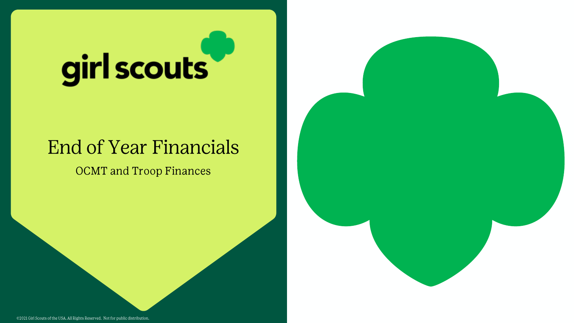# girl scouts

## **End of Year Financials**

**OCMT** and Troop Finances

@2021 Girl Scouts of the USA. All Rights Reserved. Not for public distribution.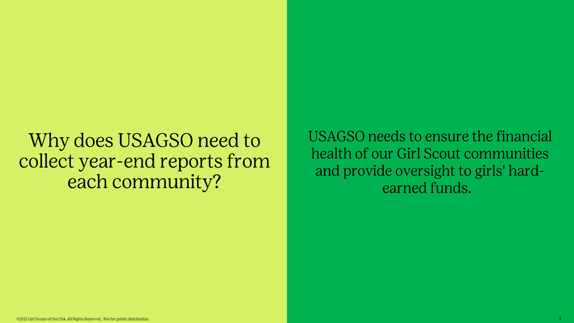## Why does USAGSO need to collect year-end reports from each community?

USAGSO needs to ensure the financial health of our Girl Scout communities and provide oversight to girls' hardearned funds.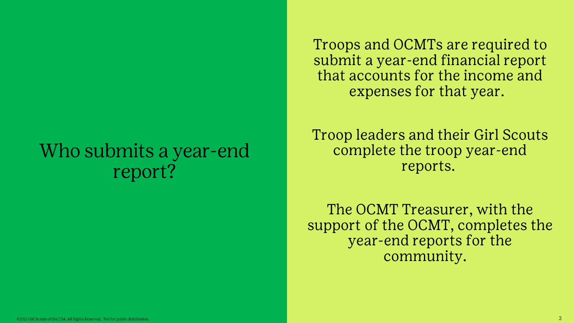## Who submits a year-end report?

Troops and OCMTs are required to submit a year-end financial report that accounts for the income and expenses for that year.

**Troop leaders and their Girl Scouts** complete the troop year-end reports.

The OCMT Treasurer, with the support of the OCMT, completes the year-end reports for the community.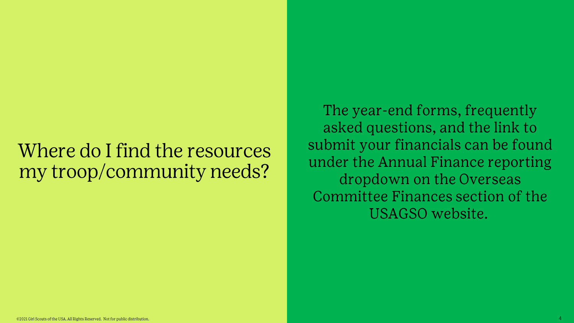## Where do I find the resources my troop/community needs?

The year-end forms, frequently asked questions, and the link to submit your financials can be found under the Annual Finance reporting dropdown on the Overseas Committee Finances section of the USAGSO website.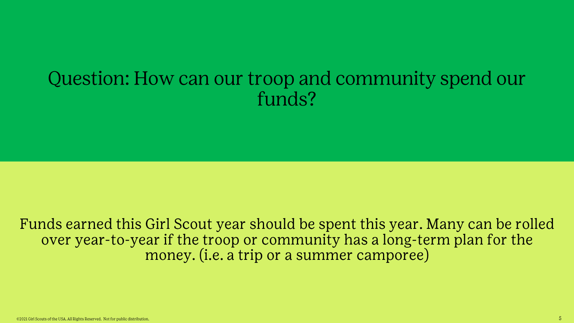## Question: How can our troop and community spend our funds?

Funds earned this Girl Scout year should be spent this year. Many can be rolled over year-to-year if the troop or community has a long-term plan for the money. (i.e. a trip or a summer camporee)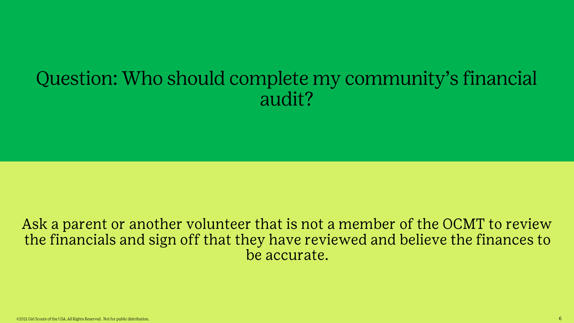## Question: Who should complete my community's financial audit?

### Ask a parent or another volunteer that is not a member of the OCMT to review the financials and sign off that they have reviewed and believe the finances to be accurate.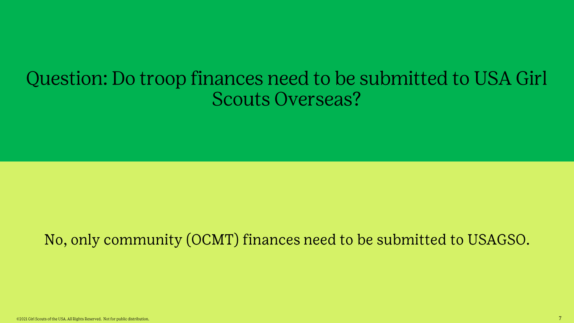## Question: Do troop finances need to be submitted to USA Girl **Scouts Overseas?**

## No, only community (OCMT) finances need to be submitted to USAGSO.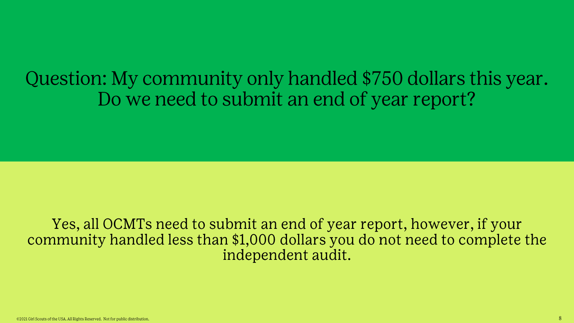Question: My community only handled \$750 dollars this year. Do we need to submit an end of year report?

Yes, all OCMTs need to submit an end of year report, however, if your community handled less than \$1,000 dollars you do not need to complete the independent audit.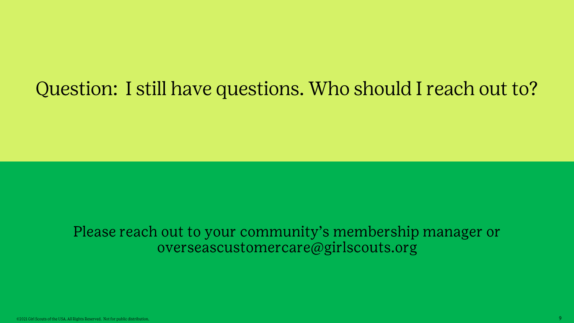## Question: I still have questions. Who should I reach out to?

### Please reach out to your community's membership manager or overseascustomercare@girlscouts.org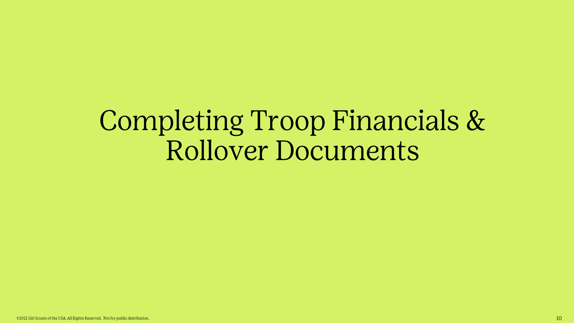## Completing Troop Financials & **Rollover Documents**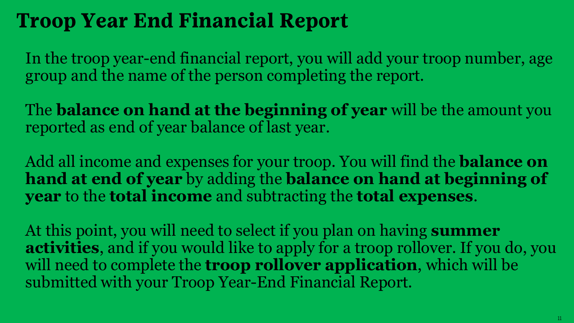## **Troop Year End Financial Report**

In the troop year-end financial report, you will add your troop number, age group and the name of the person completing the report.

The **balance on hand at the beginning of year** will be the amount you reported as end of year balance of last year.

Add all income and expenses for your troop. You will find the **balance on hand at end of year** by adding the **balance on hand at beginning of year** to the **total income** and subtracting the **total expenses**.

At this point, you will need to select if you plan on having **summer activities**, and if you would like to apply for a troop rollover. If you do, you will need to complete the **troop rollover application**, which will be submitted with your Troop Year-End Financial Report.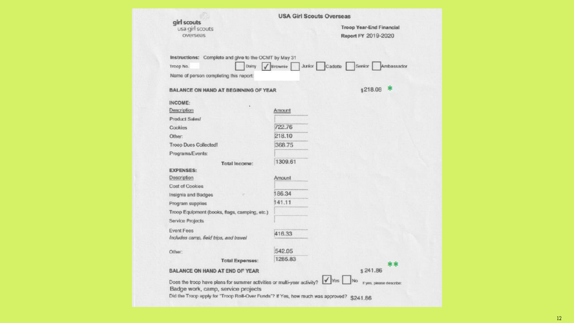| girl scouts                                                             | <b>USA Girl Scouts Overseas</b> |                                                 |
|-------------------------------------------------------------------------|---------------------------------|-------------------------------------------------|
| usa girl scouts<br>overseas                                             |                                 | Troop Year-End Financial<br>Report FY 2019-2020 |
| Instructions: Complete and give to the OCMT by May 31                   |                                 |                                                 |
| Troop No.<br>Daisy                                                      | <b>Junior</b><br>Brownie        | Senior<br>Ambassador<br>Cadette                 |
| Name of person completing this report:                                  |                                 |                                                 |
| <b>BALANCE ON HAND AT BEGINNING OF YEAR</b>                             |                                 | \$218.08 *                                      |
| INCOME:                                                                 |                                 |                                                 |
| Description                                                             | Amount                          |                                                 |
| Product Sales!                                                          |                                 |                                                 |
| Cookies                                                                 | 722.76                          |                                                 |
| Other:                                                                  | 218.10                          |                                                 |
| <b>Troop Dues Collected!</b>                                            | 368.75                          |                                                 |
| Programs/Events:                                                        |                                 |                                                 |
| Total Income:                                                           | 1309.61                         |                                                 |
| <b>EXPENSES:</b>                                                        |                                 |                                                 |
| Description                                                             | Amount                          |                                                 |
| Cost of Cookies                                                         |                                 |                                                 |
| Insignia and Badges                                                     | 186.34                          |                                                 |
| Program supplies                                                        | 141.11                          |                                                 |
| Troop Equipment (books, flags, camping, etc.)                           |                                 |                                                 |
| <b>Service Projects</b>                                                 |                                 |                                                 |
| <b>Event Fees</b>                                                       | 416.33                          |                                                 |
| Includes camp, field trips, and travel                                  |                                 |                                                 |
| Other:                                                                  | 542.05                          |                                                 |
| <b>Total Expenses:</b>                                                  | 1285.83                         |                                                 |
| BALANCE ON HAND AT END OF YEAR                                          |                                 | $**$<br>\$241.86                                |
|                                                                         |                                 | $\sqrt{\gamma_{\rm BS}}$                        |
| Does the troop have plans for summer activities or multi-year activity? |                                 | No<br>If yes, please describe:                  |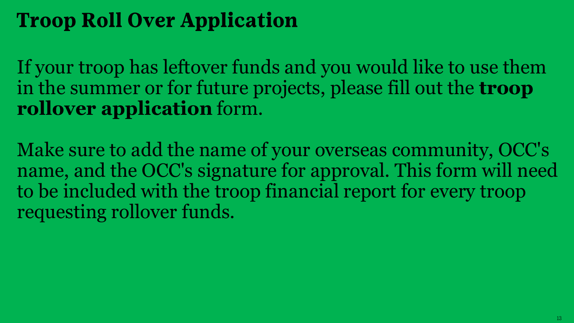## **Troop Roll Over Application**

If your troop has leftover funds and you would like to use them in the summer or for future projects, please fill out the **troop rollover application** form.

Make sure to add the name of your overseas community, OCC's name, and the OCC's signature for approval. This form will need to be included with the troop financial report for every troop requesting rollover funds.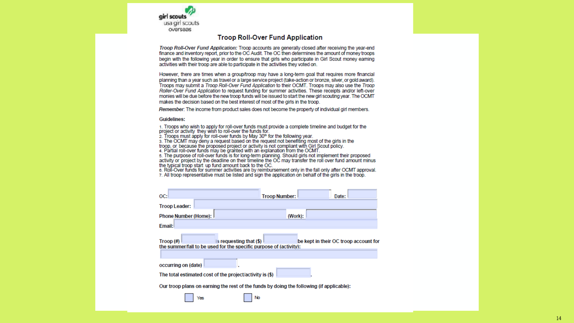

#### **Troop Roll-Over Fund Application**

Troop Roll-Over Fund Application: Troop accounts are generally closed after receiving the year-end finance and inventory report, prior to the OC Audit. The OC then determines the amount of money troops begin with the following year in order to ensure that girls who participate in Girl Scout money earning activities with their troop are able to participate in the activities they voted on.

However, there are times when a group/troop may have a long-term goal that requires more financial planning than a year such as travel or a large service project (take-action or bronze, silver, or gold award), Troops may submit a Troop Roll-Over Fund Application to their OCMT. Troops may also use the Troop Roller-Over Fund Application to request funding for summer activities. These receipts and/or left-over monies will be due before the new troop funds will be issued to start the new girl scouting year. The OCMT makes the decision based on the best interest of most of the girls in the troop.

Remember: The income from product sales does not become the property of individual girl members.

#### **Guidelines:**

1. Troops who wish to apply for roll-over funds must provide a complete timeline and budget for the project or activity they wish to roll-over the funds for.

2. Troops must apply for roll-over funds by May 30<sup>th</sup> for the following year.

3. The OCMT may deny a request based on the request not benefiting most of the girls in the

troop, or because the proposed project or activity is not compliant with Girl Scout policy.

4. Partial roll-over funds may be granted with an explanation from the OCMT.

5. The purpose of roll-over funds is for long-term planning. Should girls not implement their proposed activity or project by the deadline on their timeline the OC may transfer the roll over fund amount minus the typical troop start up fund amount back to the OC.

6. Roll-Over funds for summer activities are by reimbursement only in the fall only after OCMT approval. 7. All troop representative must be listed and sign the application on behalf of the girls in the troop.

| OC:                                                                                                          | <b>Troop Number:</b><br>Date:                                                            |
|--------------------------------------------------------------------------------------------------------------|------------------------------------------------------------------------------------------|
| <b>Troop Leader:</b>                                                                                         |                                                                                          |
| <b>Phone Number (Home): I</b>                                                                                | (Work):                                                                                  |
| Email:                                                                                                       |                                                                                          |
| is requesting that (\$)<br>$Troop(\#)$<br>the summer/fall to be used for the specific purpose of (activity); | be kept in their OC troop account for                                                    |
| occurring on (date)                                                                                          |                                                                                          |
| The total estimated cost of the project/activity is (\$)                                                     |                                                                                          |
|                                                                                                              | Our troop plans on earning the rest of the funds by doing the following (if applicable): |
| Yes                                                                                                          | No                                                                                       |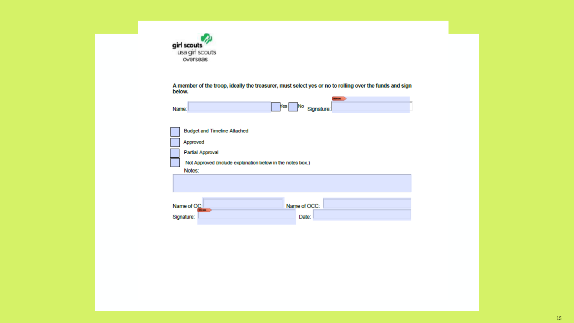| girl scouts     |
|-----------------|
| usa girl scouts |
| overseas        |

A member of the troop, ideally the treasurer, must select yes or no to rolling over the funds and sign<br>below.

| Name: | Kes No Signature: |  |
|-------|-------------------|--|

| <b>Budget and Timeline Attached</b>                          |
|--------------------------------------------------------------|
| Approved                                                     |
| <b>Partial Approval</b>                                      |
| Not Approved (include explanation below in the notes box.)   |
| Notes:                                                       |
|                                                              |
|                                                              |
| Name of OC:<br>Name of OCC:<br><b><i><u>Property</u></i></b> |
| Date:<br>Signature:                                          |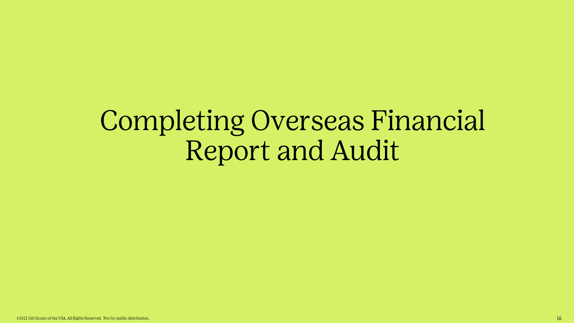## **Completing Overseas Financial Report and Audit**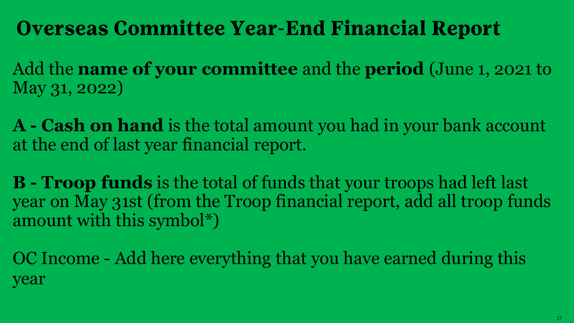## **Overseas Committee Year-End Financial Report**

Add the **name of your committee** and the **period** (June 1, 2021 to May 31, 2022)

**A - Cash on hand** is the total amount you had in your bank account at the end of last year financial report.

**B - Troop funds** is the total of funds that your troops had left last year on May 31st (from the Troop financial report, add all troop funds amount with this symbol\*)

OC Income - Add here everything that you have earned during this year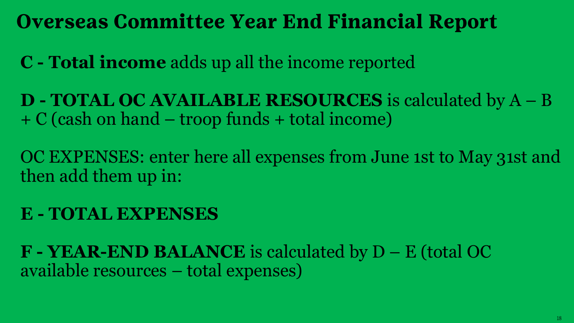**Overseas Committee Year End Financial Report** 

**C - Total income** adds up all the income reported

**D - TOTAL OC AVAILABLE RESOURCES** is calculated by A – B + C (cash on hand – troop funds + total income)

OC EXPENSES: enter here all expenses from June 1st to May 31st and then add them up in:

## **E - TOTAL EXPENSES**

**F - YEAR-END BALANCE** is calculated by D – E (total OC available resources – total expenses)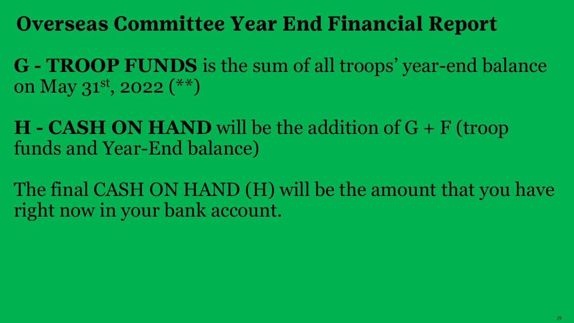## **Overseas Committee Year End Financial Report**

**G - TROOP FUNDS** is the sum of all troops' year-end balance on May 31st, 2022 (\*\*)

**H - CASH ON HAND** will be the addition of G + F (troop funds and Year-End balance)

The final CASH ON HAND (H) will be the amount that you have right now in your bank account.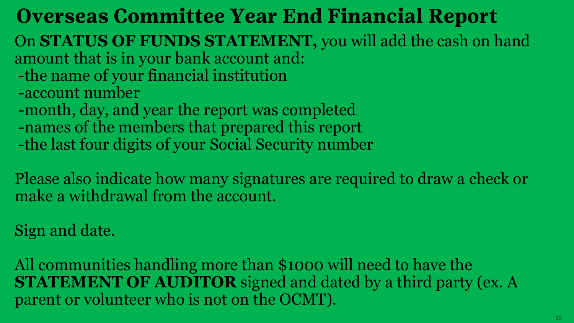## **Overseas Committee Year End Financial Report**

- On **STATUS OF FUNDS STATEMENT,** you will add the cash on hand amount that is in your bank account and:
- -the name of your financial institution -account number
- -month, day, and year the report was completed
- -names of the members that prepared this report
- -the last four digits of your Social Security number

Please also indicate how many signatures are required to draw a check or make a withdrawal from the account.

Sign and date.

All communities handling more than \$1000 will need to have the **STATEMENT OF AUDITOR** signed and dated by a third party (ex. A parent or volunteer who is not on the OCMT).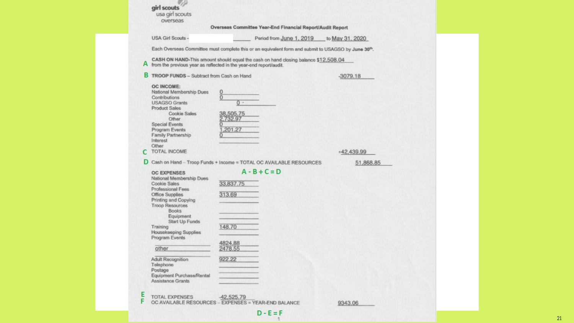|        | usa girl scouts<br>overseas                    |                                                                                                                                                           |                 |
|--------|------------------------------------------------|-----------------------------------------------------------------------------------------------------------------------------------------------------------|-----------------|
|        |                                                | Overseas Committee Year-End Financial Report/Audit Report                                                                                                 |                 |
|        | <b>USA Girl Scouts -</b>                       | Period from June 1, 2019                                                                                                                                  | to May 31, 2020 |
|        |                                                |                                                                                                                                                           |                 |
|        |                                                | Each Overseas Committee must complete this or an equivalent form and submit to USAGSO by June 30 <sup>th</sup> .                                          |                 |
|        |                                                | CASH ON HAND-This amount should equal the cash on hand closing balance \$12,508.04<br>A from the previous year as reflected in the year-end report/audit. |                 |
|        | B TROOP FUNDS - Subtract from Cash on Hand     |                                                                                                                                                           | $-3079.18$      |
|        | <b>OC INCOME:</b>                              |                                                                                                                                                           |                 |
|        | National Membership Dues                       | 0                                                                                                                                                         |                 |
|        | Contributions                                  | $\overline{0}$                                                                                                                                            |                 |
|        | <b>USAGSO Grants</b>                           | $0 -$                                                                                                                                                     |                 |
|        | <b>Product Sales</b>                           |                                                                                                                                                           |                 |
|        | Cookie Sales                                   | 38,505.75                                                                                                                                                 |                 |
|        | Other                                          | 732.97<br>$\overline{0}$                                                                                                                                  |                 |
|        | <b>Special Events</b><br>Program Events        | 201.27                                                                                                                                                    |                 |
|        | Family Partnership                             |                                                                                                                                                           |                 |
|        | Interest                                       |                                                                                                                                                           |                 |
|        | Other                                          |                                                                                                                                                           |                 |
| C      | TOTAL INCOME                                   |                                                                                                                                                           | +42,439.99      |
|        |                                                |                                                                                                                                                           |                 |
|        |                                                |                                                                                                                                                           |                 |
|        |                                                | D Cash on Hand - Troop Funds + Income = TOTAL OC AVAILABLE RESOURCES                                                                                      | 51,868.85       |
|        |                                                |                                                                                                                                                           |                 |
|        | <b>OC EXPENSES</b>                             | $A - B + C = D$                                                                                                                                           |                 |
|        | National Membership Dues                       |                                                                                                                                                           |                 |
|        | <b>Cookie Sales</b>                            | 33,837.75                                                                                                                                                 |                 |
|        | <b>Professional Fees</b>                       |                                                                                                                                                           |                 |
|        | <b>Office Supplies</b>                         | 313.69                                                                                                                                                    |                 |
|        | Printing and Copying                           |                                                                                                                                                           |                 |
|        | <b>Troop Resources</b><br><b>Books</b>         |                                                                                                                                                           |                 |
|        | Equipment                                      |                                                                                                                                                           |                 |
|        | Start Up Funds                                 |                                                                                                                                                           |                 |
|        | Training                                       | 148.70                                                                                                                                                    |                 |
|        | <b>Housekeeping Supplies</b>                   |                                                                                                                                                           |                 |
|        | Program Events                                 |                                                                                                                                                           |                 |
|        |                                                | 4824.88                                                                                                                                                   |                 |
|        | other                                          | 2478.55                                                                                                                                                   |                 |
|        |                                                |                                                                                                                                                           |                 |
|        | Adult Recognition                              | 922.22                                                                                                                                                    |                 |
|        | Telephone                                      |                                                                                                                                                           |                 |
|        | Postage                                        |                                                                                                                                                           |                 |
|        | Equipment Purchase/Rental<br>Assistance Grants |                                                                                                                                                           |                 |
|        |                                                |                                                                                                                                                           |                 |
|        |                                                |                                                                                                                                                           |                 |
| E<br>F | <b>TOTAL EXPENSES</b>                          | -42,525.79<br>OC AVAILABLE RESOURCES - EXPENSES = YEAR-END BALANCE                                                                                        | 9343.06         |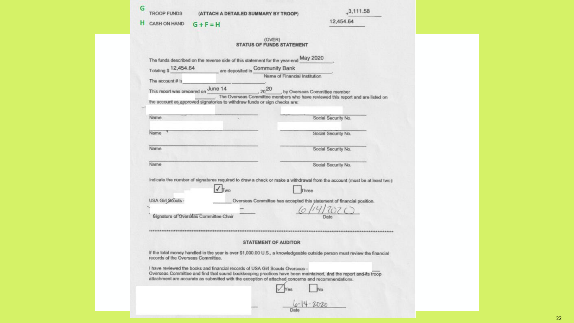|   | <b>TROOP FUNDS</b>  | (ATTACH A DETAILED SUMMARY BY TROOP) |  |
|---|---------------------|--------------------------------------|--|
| н | <b>CASH ON HAND</b> | $G + F = H$                          |  |

| 3,111.58 |  |  |  |  |
|----------|--|--|--|--|
|          |  |  |  |  |

12,454.64

|                                       | The funds described on the reverse side of this statement for the year-end May 2020 |                                                                                                                                                     |
|---------------------------------------|-------------------------------------------------------------------------------------|-----------------------------------------------------------------------------------------------------------------------------------------------------|
| Totaling \$ 12,454.64                 | are deposited in Community Bank                                                     |                                                                                                                                                     |
|                                       |                                                                                     | Name of Financial Institution                                                                                                                       |
| The account # is                      |                                                                                     |                                                                                                                                                     |
| This report was prepared on June 14   |                                                                                     | $\frac{14}{14}$ , $\frac{20}{100}$ , by Overseas Committee member<br>The Overseas Committee members who have reviewed this report and are listed on |
|                                       | the account as approved signatories to withdraw funds or sign checks are:           |                                                                                                                                                     |
|                                       |                                                                                     |                                                                                                                                                     |
| Name                                  |                                                                                     | Social Security No.                                                                                                                                 |
| Name                                  |                                                                                     | Social Security No.                                                                                                                                 |
|                                       |                                                                                     |                                                                                                                                                     |
| Name                                  |                                                                                     | Social Security No.                                                                                                                                 |
|                                       |                                                                                     |                                                                                                                                                     |
| Name                                  |                                                                                     | Social Security No.                                                                                                                                 |
|                                       |                                                                                     |                                                                                                                                                     |
|                                       |                                                                                     | Indicate the number of signatures required to draw a check or make a withdrawal from the account (must be at least two)                             |
|                                       | Two                                                                                 | Three                                                                                                                                               |
| USA Girl Scouts -                     |                                                                                     | Overseas Committee has accepted this statement of financial position.                                                                               |
|                                       |                                                                                     |                                                                                                                                                     |
|                                       |                                                                                     |                                                                                                                                                     |
| Signature of Overseas Committee Chair |                                                                                     |                                                                                                                                                     |
|                                       |                                                                                     |                                                                                                                                                     |
|                                       |                                                                                     |                                                                                                                                                     |
|                                       | <b>STATEMENT OF AUDITOR</b>                                                         |                                                                                                                                                     |
| records of the Overseas Committee.    |                                                                                     | if the total money handled in the year is over \$1,000.00 U.S., a knowledgeable outside person must review the financial                            |